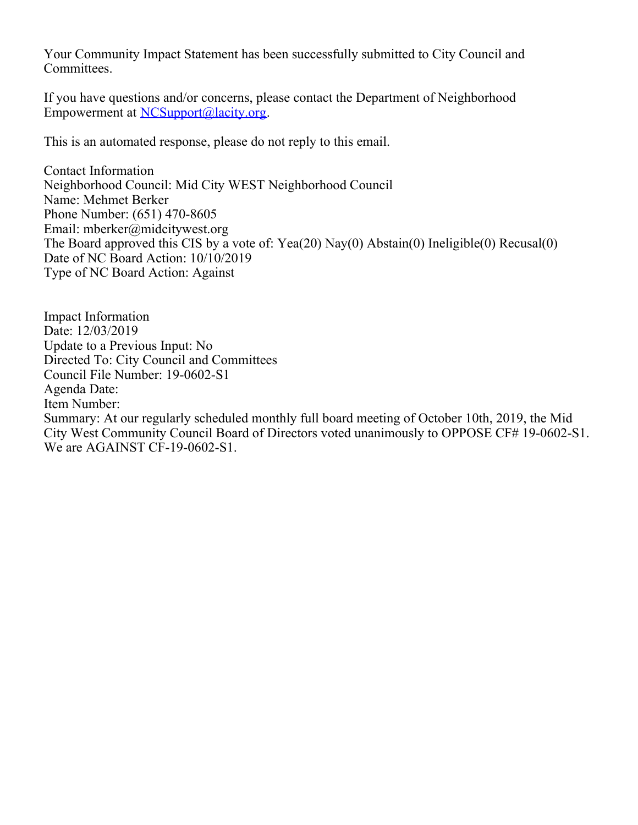Your Community Impact Statement has been successfully submitted to City Council and Committees.

If you have questions and/or concerns, please contact the Department of Neighborhood Empowerment at [NCSupport@lacity.org](mailto:NCSupport@lacity.org).

This is an automated response, please do not reply to this email.

Contact Information Neighborhood Council: Mid City WEST Neighborhood Council Name: Mehmet Berker Phone Number: (651) 470-8605 Email: mberker@midcitywest.org The Board approved this CIS by a vote of: Yea(20) Nay(0) Abstain(0) Ineligible(0) Recusal(0) Date of NC Board Action: 10/10/2019 Type of NC Board Action: Against

Impact Information Date: 12/03/2019 Update to a Previous Input: No Directed To: City Council and Committees Council File Number: 19-0602-S1 Agenda Date: Item Number: Summary: At our regularly scheduled monthly full board meeting of October 10th, 2019, the Mid City West Community Council Board of Directors voted unanimously to OPPOSE CF# 19-0602-S1. We are AGAINST CF-19-0602-S1.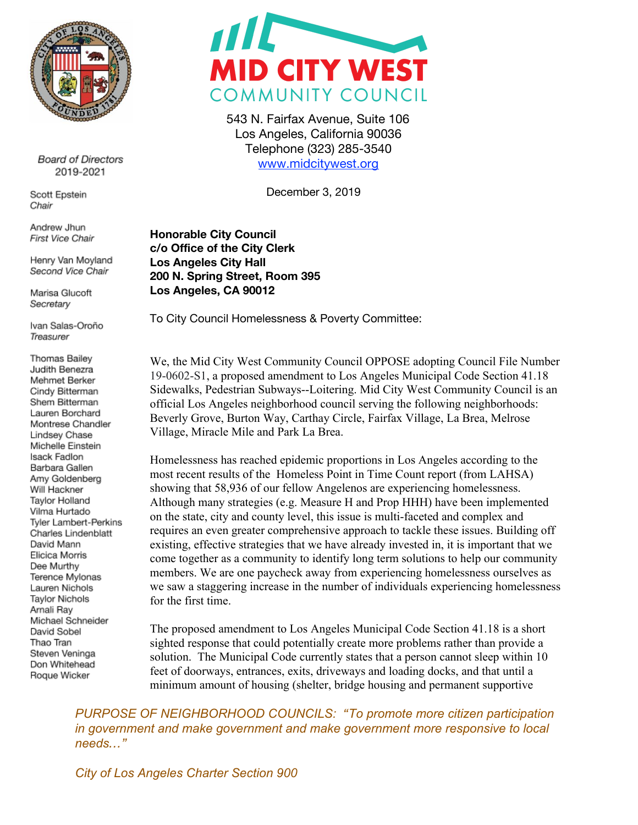

**Board of Directors** 2019-2021

Scott Epstein Chair

Andrew Jhun First Vice Chair

Henry Van Moyland Second Vice Chair

Marisa Glucoft Secretary

Ivan Salas-Oroño Treasurer

Thomas Bailey Judith Benezra Mehmet Berker Cindy Bitterman Shem Bitterman Lauren Borchard Montrese Chandler Lindsey Chase Michelle Einstein Isack Fadlon Barbara Gallen Amy Goldenberg Will Hackner **Taylor Holland** Vilma Hurtado Tyler Lambert-Perkins Charles Lindenblatt David Mann Elicica Morris Dee Murthy Terence Mylonas Lauren Nichols Taylor Nichols Arnali Rav Michael Schneider David Sobel Thao Tran Steven Veninga Don Whitehead Roque Wicker



543 N. Fairfax Avenue, Suite 106 Los Angeles, California 90036 Telephone (323) 285-3540 [www.midcitywest.org](http://www.midcitywest.org/)

December 3, 2019

**Honorable City Council c/o Office of the City Clerk Los Angeles City Hall 200 N. Spring Street, Room 395 Los Angeles, CA 90012**

To City Council Homelessness & Poverty Committee:

We, the Mid City West Community Council OPPOSE adopting Council File Number 19-0602-S1, a proposed amendment to Los Angeles Municipal Code Section 41.18 Sidewalks, Pedestrian Subways--Loitering. Mid City West Community Council is an official Los Angeles neighborhood council serving the following neighborhoods: Beverly Grove, Burton Way, Carthay Circle, Fairfax Village, La Brea, Melrose Village, Miracle Mile and Park La Brea.

Homelessness has reached epidemic proportions in Los Angeles according to the most recent results of the Homeless Point in Time Count report (from LAHSA) showing that 58,936 of our fellow Angelenos are experiencing homelessness. Although many strategies (e.g. Measure H and Prop HHH) have been implemented on the state, city and county level, this issue is multi-faceted and complex and requires an even greater comprehensive approach to tackle these issues. Building off existing, effective strategies that we have already invested in, it is important that we come together as a community to identify long term solutions to help our community members. We are one paycheck away from experiencing homelessness ourselves as we saw a staggering increase in the number of individuals experiencing homelessness for the first time.

The proposed amendment to Los Angeles Municipal Code Section 41.18 is a short sighted response that could potentially create more problems rather than provide a solution. The Municipal Code currently states that a person cannot sleep within 10 feet of doorways, entrances, exits, driveways and loading docks, and that until a minimum amount of housing (shelter, bridge housing and permanent supportive

*PURPOSE OF NEIGHBORHOOD COUNCILS: "To promote more citizen participation in government and make government and make government more responsive to local needs…"*

*City of Los Angeles Charter Section 900*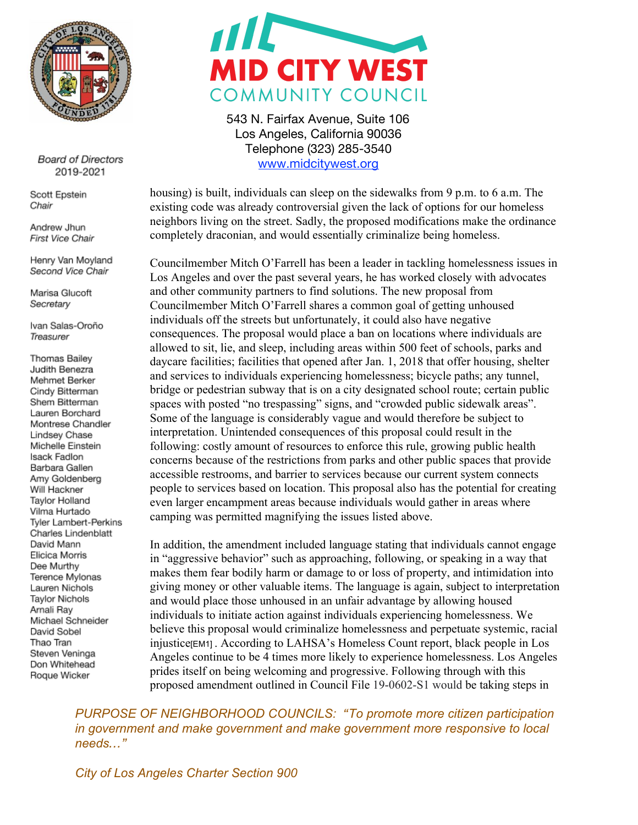

**Board of Directors** 2019-2021

Scott Epstein Chair

Andrew Jhun First Vice Chair

Henry Van Moyland Second Vice Chair

Marisa Glucoft Secretary

Ivan Salas-Oroño Treasurer

Thomas Bailey Judith Benezra Mehmet Berker Cindy Bitterman Shem Bitterman Lauren Borchard Montrese Chandler Lindsey Chase Michelle Einstein Isack Fadlon Barbara Gallen Amy Goldenberg Will Hackner **Taylor Holland** Vilma Hurtado Tyler Lambert-Perkins Charles Lindenblatt David Mann Elicica Morris Dee Murthy Terence Mylonas Lauren Nichols Taylor Nichols Arnali Ray Michael Schneider David Sobel Thao Tran Steven Veninga Don Whitehead Roque Wicker



543 N. Fairfax Avenue, Suite 106 Los Angeles, California 90036 Telephone (323) 285-3540 [www.midcitywest.org](http://www.midcitywest.org/)

housing) is built, individuals can sleep on the sidewalks from 9 p.m. to 6 a.m. The existing code was already controversial given the lack of options for our homeless neighbors living on the street. Sadly, the proposed modifications make the ordinance completely draconian, and would essentially criminalize being homeless.

Councilmember Mitch O'Farrell has been a leader in tackling homelessness issues in Los Angeles and over the past several years, he has worked closely with advocates and other community partners to find solutions. The new proposal from Councilmember Mitch O'Farrell shares a common goal of getting unhoused individuals off the streets but unfortunately, it could also have negative consequences. The proposal would place a ban on locations where individuals are allowed to sit, lie, and sleep, including areas within 500 feet of schools, parks and daycare facilities; facilities that opened after Jan. 1, 2018 that offer housing, shelter and services to individuals experiencing homelessness; bicycle paths; any tunnel, bridge or pedestrian subway that is on a city designated school route; certain public spaces with posted "no trespassing" signs, and "crowded public sidewalk areas". Some of the language is considerably vague and would therefore be subject to interpretation. Unintended consequences of this proposal could result in the following: costly amount of resources to enforce this rule, growing public health concerns because of the restrictions from parks and other public spaces that provide accessible restrooms, and barrier to services because our current system connects people to services based on location. This proposal also has the potential for creating even larger encampment areas because individuals would gather in areas where camping was permitted magnifying the issues listed above.

In addition, the amendment included language stating that individuals cannot engage in "aggressive behavior" such as approaching, following, or speaking in a way that makes them fear bodily harm or damage to or loss of property, and intimidation into giving money or other valuable items. The language is again, subject to interpretation and would place those unhoused in an unfair advantage by allowing housed individuals to initiate action against individuals experiencing homelessness. We believe this proposal would criminalize homelessness and perpetuate systemic, racial injustice (EM1) . According to LAHSA's Homeless Count report, black people in Los Angeles continue to be 4 times more likely to experience homelessness. Los Angeles prides itself on being welcoming and progressive. Following through with this proposed amendment outlined in Council File 19-0602-S1 would be taking steps in

*PURPOSE OF NEIGHBORHOOD COUNCILS: "To promote more citizen participation in government and make government and make government more responsive to local needs…"*

*City of Los Angeles Charter Section 900*